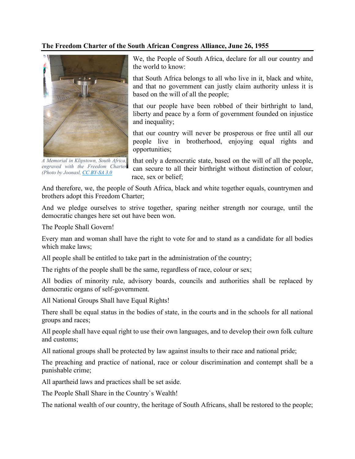## **The Freedom Charter of the South African Congress Alliance, June 26, 1955**



*A Memorial in Klipstown, South Africa, engraved with the Freedom Charter (Photo by Joonasl, [CC BY-SA 3.0](https://creativecommons.org/licenses/by-sa/3.0)*

We, the People of South Africa, declare for all our country and the world to know:

that South Africa belongs to all who live in it, black and white, and that no government can justly claim authority unless it is based on the will of all the people;

that our people have been robbed of their birthright to land, liberty and peace by a form of government founded on injustice and inequality;

that our country will never be prosperous or free until all our people live in brotherhood, enjoying equal rights and opportunities;

that only a democratic state, based on the will of all the people, can secure to all their birthright without distinction of colour, race, sex or belief;

And therefore, we, the people of South Africa, black and white together equals, countrymen and brothers adopt this Freedom Charter;

And we pledge ourselves to strive together, sparing neither strength nor courage, until the democratic changes here set out have been won.

The People Shall Govern!

Every man and woman shall have the right to vote for and to stand as a candidate for all bodies which make laws;

All people shall be entitled to take part in the administration of the country;

The rights of the people shall be the same, regardless of race, colour or sex;

All bodies of minority rule, advisory boards, councils and authorities shall be replaced by democratic organs of self-government.

All National Groups Shall have Equal Rights!

There shall be equal status in the bodies of state, in the courts and in the schools for all national groups and races;

All people shall have equal right to use their own languages, and to develop their own folk culture and customs;

All national groups shall be protected by law against insults to their race and national pride;

The preaching and practice of national, race or colour discrimination and contempt shall be a punishable crime;

All apartheid laws and practices shall be set aside.

The People Shall Share in the Country`s Wealth!

The national wealth of our country, the heritage of South Africans, shall be restored to the people;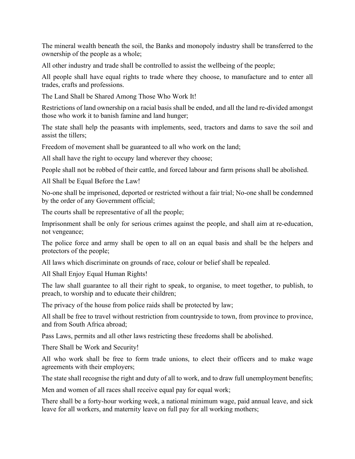The mineral wealth beneath the soil, the Banks and monopoly industry shall be transferred to the ownership of the people as a whole;

All other industry and trade shall be controlled to assist the wellbeing of the people;

All people shall have equal rights to trade where they choose, to manufacture and to enter all trades, crafts and professions.

The Land Shall be Shared Among Those Who Work It!

Restrictions of land ownership on a racial basis shall be ended, and all the land re-divided amongst those who work it to banish famine and land hunger;

The state shall help the peasants with implements, seed, tractors and dams to save the soil and assist the tillers;

Freedom of movement shall be guaranteed to all who work on the land;

All shall have the right to occupy land wherever they choose;

People shall not be robbed of their cattle, and forced labour and farm prisons shall be abolished.

All Shall be Equal Before the Law!

No-one shall be imprisoned, deported or restricted without a fair trial; No-one shall be condemned by the order of any Government official;

The courts shall be representative of all the people;

Imprisonment shall be only for serious crimes against the people, and shall aim at re-education, not vengeance;

The police force and army shall be open to all on an equal basis and shall be the helpers and protectors of the people;

All laws which discriminate on grounds of race, colour or belief shall be repealed.

All Shall Enjoy Equal Human Rights!

The law shall guarantee to all their right to speak, to organise, to meet together, to publish, to preach, to worship and to educate their children;

The privacy of the house from police raids shall be protected by law;

All shall be free to travel without restriction from countryside to town, from province to province, and from South Africa abroad;

Pass Laws, permits and all other laws restricting these freedoms shall be abolished.

There Shall be Work and Security!

All who work shall be free to form trade unions, to elect their officers and to make wage agreements with their employers;

The state shall recognise the right and duty of all to work, and to draw full unemployment benefits;

Men and women of all races shall receive equal pay for equal work;

There shall be a forty-hour working week, a national minimum wage, paid annual leave, and sick leave for all workers, and maternity leave on full pay for all working mothers;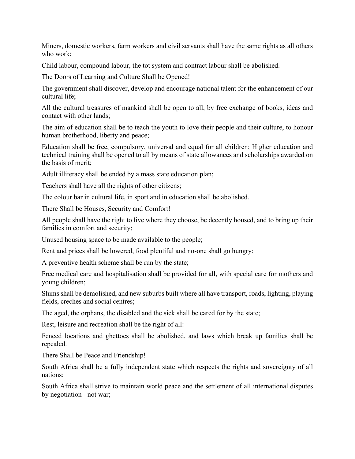Miners, domestic workers, farm workers and civil servants shall have the same rights as all others who work;

Child labour, compound labour, the tot system and contract labour shall be abolished.

The Doors of Learning and Culture Shall be Opened!

The government shall discover, develop and encourage national talent for the enhancement of our cultural life;

All the cultural treasures of mankind shall be open to all, by free exchange of books, ideas and contact with other lands;

The aim of education shall be to teach the youth to love their people and their culture, to honour human brotherhood, liberty and peace;

Education shall be free, compulsory, universal and equal for all children; Higher education and technical training shall be opened to all by means of state allowances and scholarships awarded on the basis of merit;

Adult illiteracy shall be ended by a mass state education plan;

Teachers shall have all the rights of other citizens;

The colour bar in cultural life, in sport and in education shall be abolished.

There Shall be Houses, Security and Comfort!

All people shall have the right to live where they choose, be decently housed, and to bring up their families in comfort and security;

Unused housing space to be made available to the people;

Rent and prices shall be lowered, food plentiful and no-one shall go hungry;

A preventive health scheme shall be run by the state;

Free medical care and hospitalisation shall be provided for all, with special care for mothers and young children;

Slums shall be demolished, and new suburbs built where all have transport, roads, lighting, playing fields, creches and social centres;

The aged, the orphans, the disabled and the sick shall be cared for by the state;

Rest, leisure and recreation shall be the right of all:

Fenced locations and ghettoes shall be abolished, and laws which break up families shall be repealed.

There Shall be Peace and Friendship!

South Africa shall be a fully independent state which respects the rights and sovereignty of all nations;

South Africa shall strive to maintain world peace and the settlement of all international disputes by negotiation - not war;